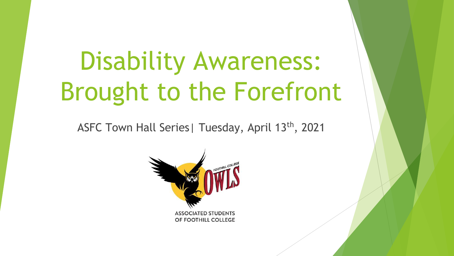# Disability Awareness: Brought to the Forefront

ASFC Town Hall Series | Tuesday, April 13<sup>th</sup>, 2021

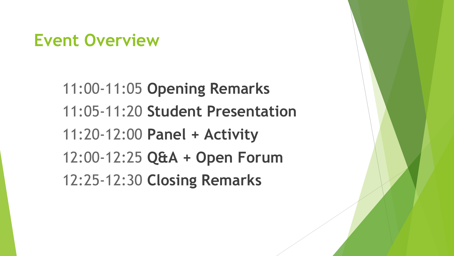### **Event Overview**

11:00-11:05 **Opening Remarks** 11:05-11:20 **Student Presentation** 11:20-12:00 **Panel + Activity** 12:00-12:25 **Q&A + Open Forum** 12:25-12:30 **Closing Remarks**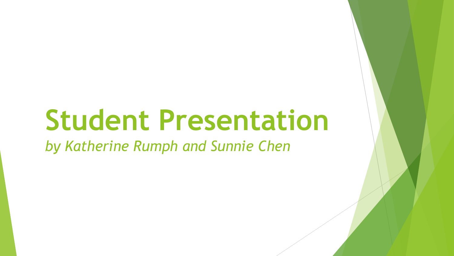## **Student Presentation**

*by Katherine Rumph and Sunnie Chen*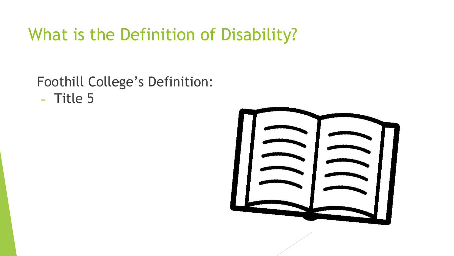### What is the Definition of Disability?

Foothill College's Definition: - Title 5

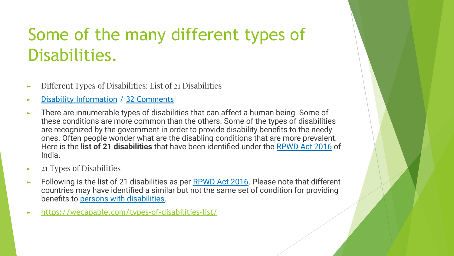## Some of the many different types of Disabilities.

- ► Different Types of Disabilities: List of 21 Disabilities
- [Disability Information](https://wecapable.com/category/disability-information/) / [32 Comments](https://wecapable.com/types-of-disabilities-list/#comments)
- ► There are innumerable types of disabilities that can affect a human being. Some of these conditions are more common than the others. Some of the types of disabilities are recognized by the government in order to provide disability benefits to the needy ones. Often people wonder what are the disabling conditions that are more prevalent. Here is the **list of 21 disabilities** that have been identified under the [RPWD Act 2016](https://wecapable.com/rpwd-act-2016-summary-overview-infographic/) of India.
- ► 21 Types of Disabilities
- ► Following is the list of 21 disabilities as per [RPWD Act 2016](https://wecapable.com/rights-of-persons-with-disabilities-act-2016-india/). Please note that different countries may have identified a similar but not the same set of condition for providing benefits to [persons with disabilities.](https://wecapable.com/persons-with-disabilities-definition-rights-states-and-more/)
- <https://wecapable.com/types-of-disabilities-list/>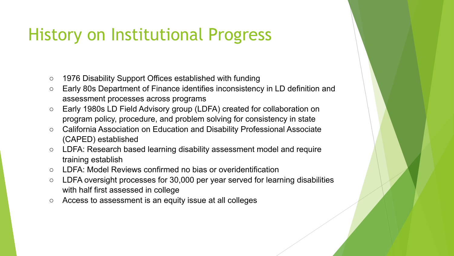## History on Institutional Progress

- 1976 Disability Support Offices established with funding
- Early 80s Department of Finance identifies inconsistency in LD definition and assessment processes across programs
- Early 1980s LD Field Advisory group (LDFA) created for collaboration on program policy, procedure, and problem solving for consistency in state
- California Association on Education and Disability Professional Associate (CAPED) established
- LDFA: Research based learning disability assessment model and require training establish
- IDFA: Model Reviews confirmed no bias or overidentification
- LDFA oversight processes for 30,000 per year served for learning disabilities with half first assessed in college
- Access to assessment is an equity issue at all colleges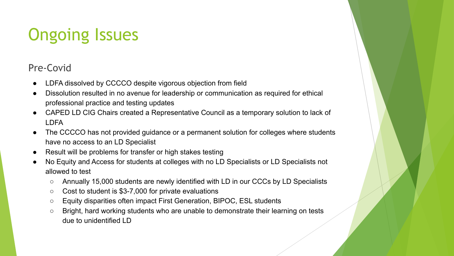## Ongoing Issues

#### Pre-Covid

- LDFA dissolved by CCCCO despite vigorous objection from field
- Dissolution resulted in no avenue for leadership or communication as required for ethical professional practice and testing updates
- CAPED LD CIG Chairs created a Representative Council as a temporary solution to lack of LDFA
- The CCCCO has not provided guidance or a permanent solution for colleges where students have no access to an LD Specialist
- Result will be problems for transfer or high stakes testing
- No Equity and Access for students at colleges with no LD Specialists or LD Specialists not allowed to test
	- Annually 15,000 students are newly identified with LD in our CCCs by LD Specialists
	- Cost to student is \$3-7,000 for private evaluations
	- Equity disparities often impact First Generation, BIPOC, ESL students
	- Bright, hard working students who are unable to demonstrate their learning on tests due to unidentified LD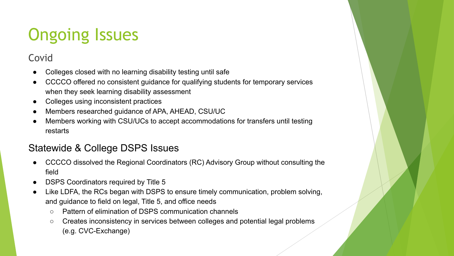## Ongoing Issues

#### Covid

- Colleges closed with no learning disability testing until safe
- CCCCO offered no consistent guidance for qualifying students for temporary services when they seek learning disability assessment
- Colleges using inconsistent practices
- Members researched guidance of APA, AHEAD, CSU/UC
- Members working with CSU/UCs to accept accommodations for transfers until testing restarts

#### Statewide & College DSPS Issues

- CCCCO dissolved the Regional Coordinators (RC) Advisory Group without consulting the field
- DSPS Coordinators required by Title 5
- Like LDFA, the RCs began with DSPS to ensure timely communication, problem solving, and guidance to field on legal, Title 5, and office needs
	- Pattern of elimination of DSPS communication channels
	- Creates inconsistency in services between colleges and potential legal problems (e.g. CVC-Exchange)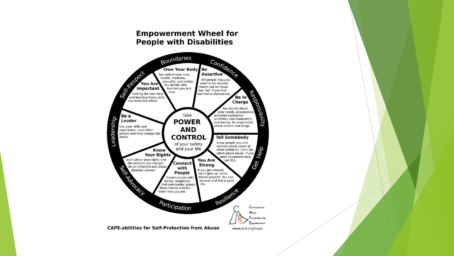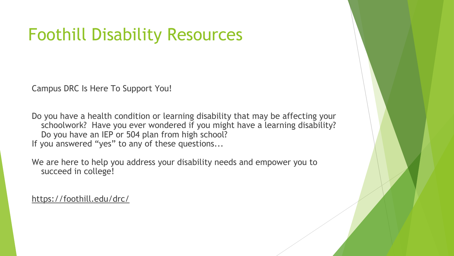## Foothill Disability Resources

Campus DRC Is Here To Support You!

Do you have a health condition or learning disability that may be affecting your schoolwork? Have you ever wondered if you might have a learning disability? Do you have an IEP or 504 plan from high school? If you answered "yes" to any of these questions...

We are here to help you address your disability needs and empower you to succeed in college!

https://foothill.edu/drc/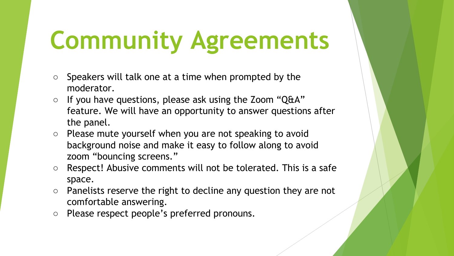# **Community Agreements**

- $\circ$  Speakers will talk one at a time when prompted by the moderator.
- If you have questions, please ask using the Zoom "Q&A" feature. We will have an opportunity to answer questions after the panel.
- Please mute yourself when you are not speaking to avoid background noise and make it easy to follow along to avoid zoom "bouncing screens."
- Respect! Abusive comments will not be tolerated. This is a safe space.
- $\circ$  Panelists reserve the right to decline any question they are not comfortable answering.
- Please respect people's preferred pronouns.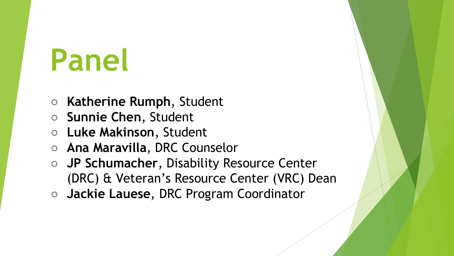# **Panel**

- **○ Katherine Rumph**, Student
- **○ Sunnie Chen**, Student
- **○ Luke Makinson**, Student
- **Ana Maravilla**, DRC Counselor
- **JP Schumacher**, Disability Resource Center (DRC) & Veteran's Resource Center (VRC) Dean
- **Jackie Lauese**, DRC Program Coordinator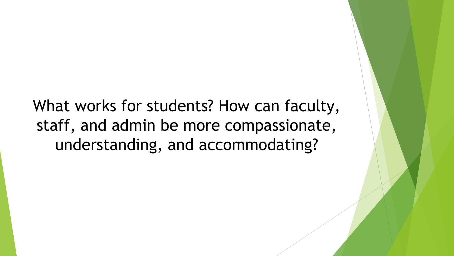What works for students? How can faculty, staff, and admin be more compassionate, understanding, and accommodating?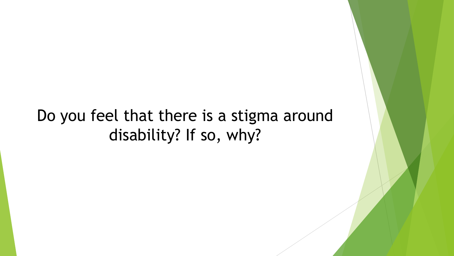### Do you feel that there is a stigma around disability? If so, why?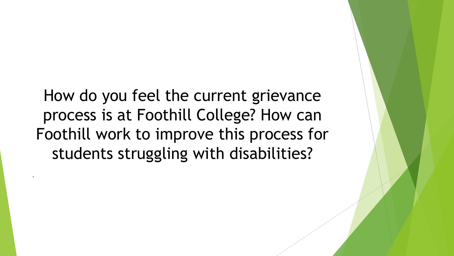How do you feel the current grievance process is at Foothill College? How can Foothill work to improve this process for students struggling with disabilities?

-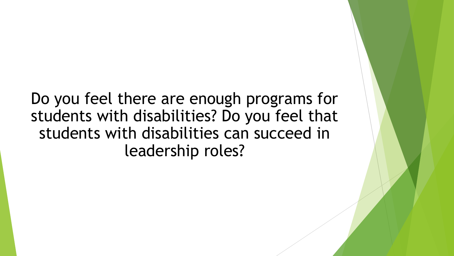Do you feel there are enough programs for students with disabilities? Do you feel that students with disabilities can succeed in leadership roles?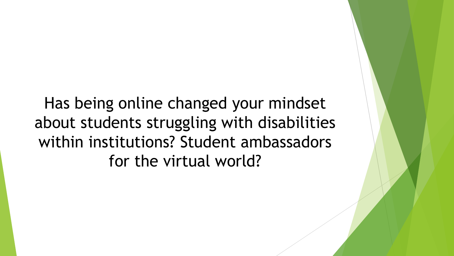Has being online changed your mindset about students struggling with disabilities within institutions? Student ambassadors for the virtual world?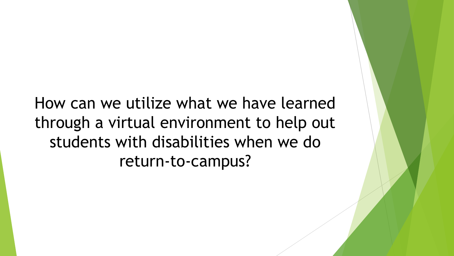How can we utilize what we have learned through a virtual environment to help out students with disabilities when we do return-to-campus?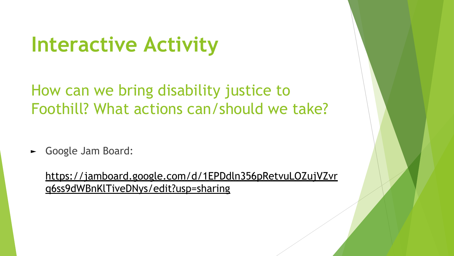## **Interactive Activity**

How can we bring disability justice to Foothill? What actions can/should we take?

► Google Jam Board:

[https://jamboard.google.com/d/1EPDdln356pRetvuLOZujVZvr](https://jamboard.google.com/d/1EPDdln356pRetvuLOZujVZvrq6ss9dWBnKlTiveDNys/edit?usp=sharing) [q6ss9dWBnKlTiveDNys/edit?usp=sharing](https://jamboard.google.com/d/1EPDdln356pRetvuLOZujVZvrq6ss9dWBnKlTiveDNys/edit?usp=sharing)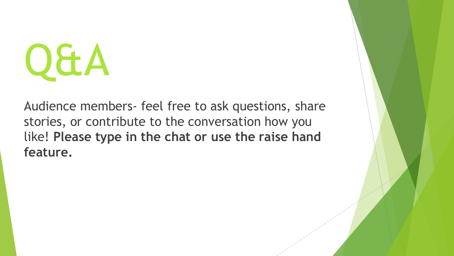

Audience members- feel free to ask questions, share stories, or contribute to the conversation how you like! **Please type in the chat or use the raise hand feature.**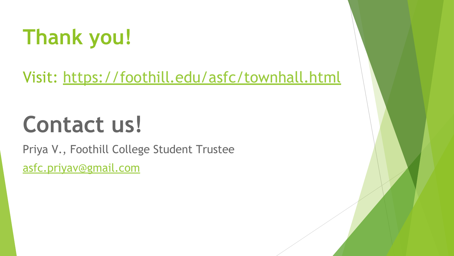## **Thank you!**

Visit:<https://foothill.edu/asfc/townhall.html>

## **Contact us!**

Priya V., Foothill College Student Trustee [asfc.priyav@gmail.com](mailto:asfc.priyav@gmail.com)